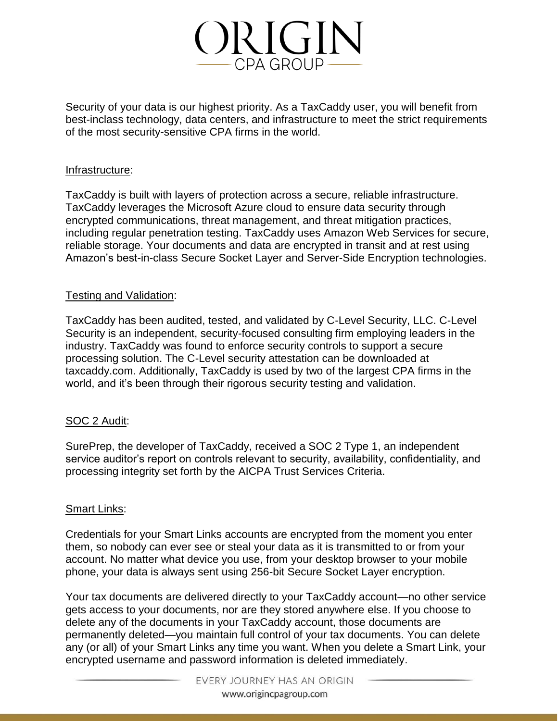

Security of your data is our highest priority. As a TaxCaddy user, you will benefit from best-inclass technology, data centers, and infrastructure to meet the strict requirements of the most security-sensitive CPA firms in the world.

#### Infrastructure:

TaxCaddy is built with layers of protection across a secure, reliable infrastructure. TaxCaddy leverages the Microsoft Azure cloud to ensure data security through encrypted communications, threat management, and threat mitigation practices, including regular penetration testing. TaxCaddy uses Amazon Web Services for secure, reliable storage. Your documents and data are encrypted in transit and at rest using Amazon's best-in-class Secure Socket Layer and Server-Side Encryption technologies.

# Testing and Validation:

TaxCaddy has been audited, tested, and validated by C-Level Security, LLC. C-Level Security is an independent, security-focused consulting firm employing leaders in the industry. TaxCaddy was found to enforce security controls to support a secure processing solution. The C-Level security attestation can be downloaded at taxcaddy.com. Additionally, TaxCaddy is used by two of the largest CPA firms in the world, and it's been through their rigorous security testing and validation.

# SOC 2 Audit:

SurePrep, the developer of TaxCaddy, received a SOC 2 Type 1, an independent service auditor's report on controls relevant to security, availability, confidentiality, and processing integrity set forth by the AICPA Trust Services Criteria.

#### Smart Links:

Credentials for your Smart Links accounts are encrypted from the moment you enter them, so nobody can ever see or steal your data as it is transmitted to or from your account. No matter what device you use, from your desktop browser to your mobile phone, your data is always sent using 256-bit Secure Socket Layer encryption.

Your tax documents are delivered directly to your TaxCaddy account—no other service gets access to your documents, nor are they stored anywhere else. If you choose to delete any of the documents in your TaxCaddy account, those documents are permanently deleted—you maintain full control of your tax documents. You can delete any (or all) of your Smart Links any time you want. When you delete a Smart Link, your encrypted username and password information is deleted immediately.